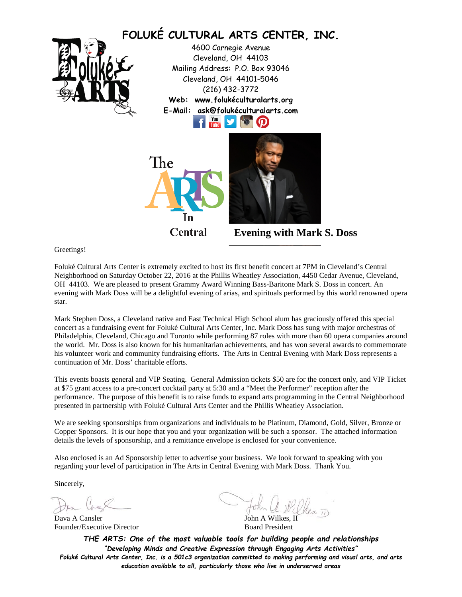

Greetings!

Foluké Cultural Arts Center is extremely excited to host its first benefit concert at 7PM in Cleveland's Central Neighborhood on Saturday October 22, 2016 at the Phillis Wheatley Association, 4450 Cedar Avenue, Cleveland, OH 44103. We are pleased to present Grammy Award Winning Bass-Baritone Mark S. Doss in concert. An evening with Mark Doss will be a delightful evening of arias, and spirituals performed by this world renowned opera star.

Mark Stephen Doss, a Cleveland native and East Technical High School alum has graciously offered this special concert as a fundraising event for Foluké Cultural Arts Center, Inc. Mark Doss has sung with major orchestras of Philadelphia, Cleveland, Chicago and Toronto while performing 87 roles with more than 60 opera companies around the world. Mr. Doss is also known for his humanitarian achievements, and has won several awards to commemorate his volunteer work and community fundraising efforts. The Arts in Central Evening with Mark Doss represents a continuation of Mr. Doss' charitable efforts.

This events boasts general and VIP Seating. General Admission tickets \$50 are for the concert only, and VIP Ticket at \$75 grant access to a pre-concert cocktail party at 5:30 and a "Meet the Performer" reception after the performance. The purpose of this benefit is to raise funds to expand arts programming in the Central Neighborhood presented in partnership with Foluké Cultural Arts Center and the Phillis Wheatley Association.

We are seeking sponsorships from organizations and individuals to be Platinum, Diamond, Gold, Silver, Bronze or Copper Sponsors. It is our hope that you and your organization will be such a sponsor. The attached information details the levels of sponsorship, and a remittance envelope is enclosed for your convenience.

Also enclosed is an Ad Sponsorship letter to advertise your business. We look forward to speaking with you regarding your level of participation in The Arts in Central Evening with Mark Doss. Thank You.

Sincerely,

Dava A Cansler<br>
Founder/Executive Director<br>
Board President Founder/Executive Director

*THE ARTS: One of the most valuable tools for building people and relationships "Developing Minds and Creative Expression through Engaging Arts Activities" Foluké Cultural Arts Center, Inc. is a 501c3 organization committed to making performing and visual arts, and arts education available to all, particularly those who live in underserved areas*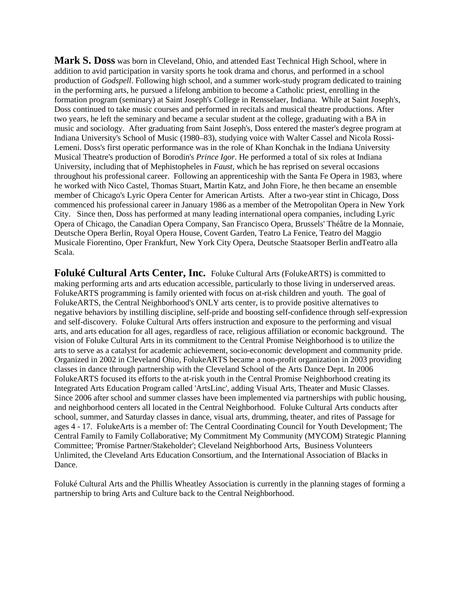**Mark S. Doss** was born in Cleveland, Ohio, and attende[d East Technical High School,](https://en.wikipedia.org/wiki/East_Technical_High_School) where in addition to avid participation in varsity sports he took drama and chorus, and performed in a school production of *[Godspell](https://en.wikipedia.org/wiki/Godspell)*. Following high school, and a summer work-study program dedicated to training in the performing arts, he pursued a lifelong ambition to become a Catholic priest, enrolling in the formation program (seminary) at [Saint Joseph's College](https://en.wikipedia.org/wiki/Saint_Joseph%27s_College_(Indiana)) in [Rensselaer, Indiana.](https://en.wikipedia.org/wiki/Rensselaer,_Indiana) While at Saint Joseph's, Doss continued to take music courses and performed in recitals and musical theatre productions. After two years, he left the seminary and became a secular student at the college, graduating with a BA in music and sociology. After graduating from Saint Joseph's, Doss entered the master's degree program at Indiana University's School of Music (1980–83), studying voice with Walter Cassel and [Nicola Rossi-](https://en.wikipedia.org/wiki/Nicola_Rossi-Lemeni)[Lemeni.](https://en.wikipedia.org/wiki/Nicola_Rossi-Lemeni) Doss's first operatic performance was in the role of Khan Konchak in the [Indiana University](https://en.wikipedia.org/wiki/Indiana_University) Musical Theatre's production of Borodin's *[Prince Igor](https://en.wikipedia.org/wiki/Prince_Igor)*. He performed a total of six roles at Indiana University, including that of Mephistopheles in *[Faust](https://en.wikipedia.org/wiki/Faust_(opera))*, which he has reprised on several occasions throughout his professional career. Following an apprenticeship with the [Santa Fe Opera](https://en.wikipedia.org/wiki/Santa_Fe_Opera) in 1983, where he worked with [Nico Castel,](https://en.wikipedia.org/wiki/Nico_Castel) Thomas Stuart, [Martin Katz,](https://en.wikipedia.org/wiki/Martin_Katz) and [John Fiore,](https://en.wikipedia.org/w/index.php?title=John_Fiore_(conductor)&action=edit&redlink=1) he then became an ensemble member of Chicago's [Lyric Opera Center for American Artists.](https://en.wikipedia.org/wiki/Lyric_Opera_of_Chicago) After a two-year stint in Chicago, Doss commenced his professional career in January 1986 as a member of the [Metropolitan Opera](https://en.wikipedia.org/wiki/Metropolitan_Opera) in New York City. Since then, Doss has performed at many leading international opera companies, including [Lyric](https://en.wikipedia.org/wiki/Lyric_Opera_of_Chicago)  [Opera of Chicago,](https://en.wikipedia.org/wiki/Lyric_Opera_of_Chicago) the [Canadian Opera Company,](https://en.wikipedia.org/wiki/Canadian_Opera_Company) [San Francisco Opera,](https://en.wikipedia.org/wiki/San_Francisco_Opera) Brussels' [Théâtre de la Monnaie,](https://en.wikipedia.org/wiki/Th%C3%A9%C3%A2tre_de_la_Monnaie) Deutsche Opera Berlin, [Royal Opera House,](https://en.wikipedia.org/wiki/Royal_Opera_House) Covent Garden, [Teatro La Fenice,](https://en.wikipedia.org/wiki/Teatro_La_Fenice) Teatro del Maggio Musicale Fiorentino, Oper Frankfurt, [New York City Opera,](https://en.wikipedia.org/wiki/New_York_City_Opera) [Deutsche Staatsoper Berlin](https://en.wikipedia.org/wiki/Deutsche_Staatsoper_Berlin) an[dTeatro alla](https://en.wikipedia.org/wiki/Teatro_alla_Scala)  [Scala.](https://en.wikipedia.org/wiki/Teatro_alla_Scala)

**Foluké Cultural Arts Center, Inc.** Foluke Cultural Arts (FolukeARTS) is committed to making performing arts and arts education accessible, particularly to those living in underserved areas. FolukeARTS programming is family oriented with focus on at-risk children and youth. The goal of FolukeARTS, the Central Neighborhood's ONLY arts center, is to provide positive alternatives to negative behaviors by instilling discipline, self-pride and boosting self-confidence through self-expression and self-discovery. Foluke Cultural Arts offers instruction and exposure to the performing and visual arts, and arts education for all ages, regardless of race, religious affiliation or economic background. The vision of Foluke Cultural Arts in its commitment to the Central Promise Neighborhood is to utilize the arts to serve as a catalyst for academic achievement, socio-economic development and community pride. Organized in 2002 in Cleveland Ohio, FolukeARTS became a non-profit organization in 2003 providing classes in dance through partnership with the Cleveland School of the Arts Dance Dept. In 2006 FolukeARTS focused its efforts to the at-risk youth in the Central Promise Neighborhood creating its Integrated Arts Education Program called 'ArtsLinc', adding Visual Arts, Theater and Music Classes. Since 2006 after school and summer classes have been implemented via partnerships with public housing, and neighborhood centers all located in the Central Neighborhood. Foluke Cultural Arts conducts after school, summer, and Saturday classes in dance, visual arts, drumming, theater, and rites of Passage for ages 4 - 17. FolukeArts is a member of: The Central Coordinating Council for Youth Development; The Central Family to Family Collaborative; My Commitment My Community (MYCOM) Strategic Planning Committee; 'Promise Partner/Stakeholder'; Cleveland Neighborhood Arts, Business Volunteers Unlimited, the Cleveland Arts Education Consortium, and the International Association of Blacks in Dance.

Foluké Cultural Arts and the Phillis Wheatley Association is currently in the planning stages of forming a partnership to bring Arts and Culture back to the Central Neighborhood.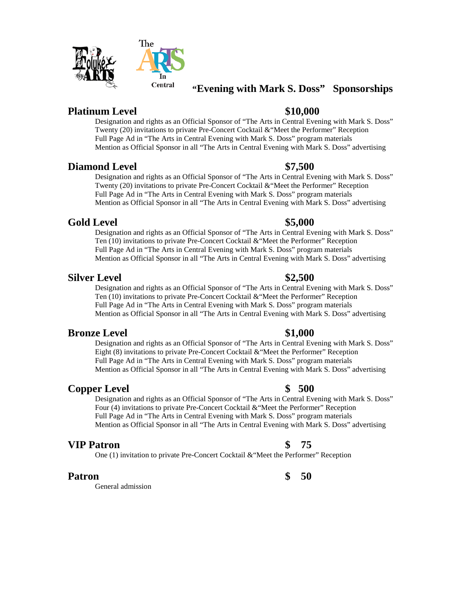# **"Evening with Mark S. Doss" Sponsorships**

# **Platinum Level \$10,000**

Designation and rights as an Official Sponsor of "The Arts in Central Evening with Mark S. Doss" Twenty (20) invitations to private Pre-Concert Cocktail &"Meet the Performer" Reception Full Page Ad in "The Arts in Central Evening with Mark S. Doss" program materials Mention as Official Sponsor in all "The Arts in Central Evening with Mark S. Doss" advertising

### **Diamond Level \$7,500**

Designation and rights as an Official Sponsor of "The Arts in Central Evening with Mark S. Doss" Twenty (20) invitations to private Pre-Concert Cocktail &"Meet the Performer" Reception Full Page Ad in "The Arts in Central Evening with Mark S. Doss" program materials Mention as Official Sponsor in all "The Arts in Central Evening with Mark S. Doss" advertising

## **Gold Level \$5,000**

Designation and rights as an Official Sponsor of "The Arts in Central Evening with Mark S. Doss" Ten (10) invitations to private Pre-Concert Cocktail &"Meet the Performer" Reception Full Page Ad in "The Arts in Central Evening with Mark S. Doss" program materials Mention as Official Sponsor in all "The Arts in Central Evening with Mark S. Doss" advertising

## **Silver Level \$2,500**

Designation and rights as an Official Sponsor of "The Arts in Central Evening with Mark S. Doss" Ten (10) invitations to private Pre-Concert Cocktail &"Meet the Performer" Reception Full Page Ad in "The Arts in Central Evening with Mark S. Doss" program materials Mention as Official Sponsor in all "The Arts in Central Evening with Mark S. Doss" advertising

# **Bronze Level \$1,000**

Designation and rights as an Official Sponsor of "The Arts in Central Evening with Mark S. Doss" Eight (8) invitations to private Pre-Concert Cocktail &"Meet the Performer" Reception Full Page Ad in "The Arts in Central Evening with Mark S. Doss" program materials Mention as Official Sponsor in all "The Arts in Central Evening with Mark S. Doss" advertising

# **Copper Level \$ 500**

Designation and rights as an Official Sponsor of "The Arts in Central Evening with Mark S. Doss" Four (4) invitations to private Pre-Concert Cocktail &"Meet the Performer" Reception Full Page Ad in "The Arts in Central Evening with Mark S. Doss" program materials Mention as Official Sponsor in all "The Arts in Central Evening with Mark S. Doss" advertising

### **VIP Patron \$ 75**

One (1) invitation to private Pre-Concert Cocktail &"Meet the Performer" Reception

# **Patron \$ 50**

General admission

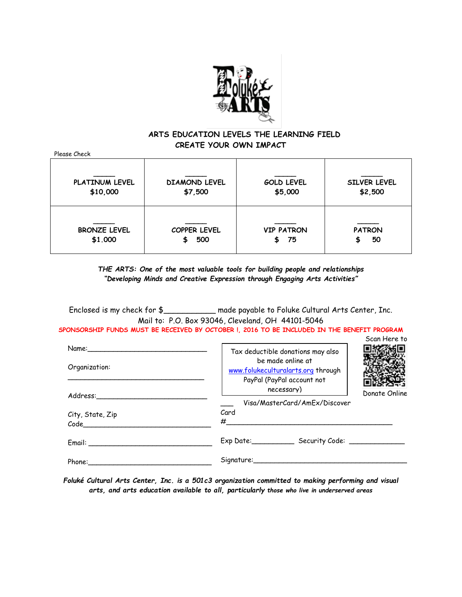

### **ARTS EDUCATION LEVELS THE LEARNING FIELD CREATE YOUR OWN IMPACT**

| Please Check                   |                                 |                               |                                |
|--------------------------------|---------------------------------|-------------------------------|--------------------------------|
| PLATINUM LEVEL<br>\$10,000     | <b>DIAMOND LEVEL</b><br>\$7,500 | <b>GOLD LEVEL</b><br>\$5,000  | <b>SILVER LEVEL</b><br>\$2,500 |
| <b>BRONZE LEVEL</b><br>\$1,000 | COPPER LEVEL<br>500<br>\$       | <b>VIP PATRON</b><br>75<br>S. | <b>PATRON</b><br>50<br>S       |

*THE ARTS: One of the most valuable tools for building people and relationships "Developing Minds and Creative Expression through Engaging Arts Activities"*

Enclosed is my check for \$\_\_\_\_\_\_\_\_\_\_\_ made payable to Foluke Cultural Arts Center, Inc. Mail to: P.O. Box 93046, Cleveland, OH 44101-5046 **SPONSORSHIP FUNDS MUST BE RECEIVED BY OCTOBER !, 2016 TO BE INCLUDED IN THE BENEFIT PROGRAM**

| Name: Name and the service of the service of the service of the service of the service of the service of the service of the service of the service of the service of the service of the service of the service of the service  | Scan Here to                                                                                                               |
|--------------------------------------------------------------------------------------------------------------------------------------------------------------------------------------------------------------------------------|----------------------------------------------------------------------------------------------------------------------------|
| Organization:                                                                                                                                                                                                                  | Tax deductible donations may also<br>be made online at<br>www.folukeculturalarts.org through<br>PayPal (PayPal account not |
| Address:                                                                                                                                                                                                                       | necessary)<br>Donate Online<br>Visa/MasterCard/AmEx/Discover                                                               |
| City, State, Zip<br>Code                                                                                                                                                                                                       | Card<br>#                                                                                                                  |
| Email: Email: Email: Email: Email: Email: Email: Email: Email: Email: Email: Email: Email: Email: Email: Email: Email: Email: Email: Email: Email: Email: Email: Email: Email: Email: Email: Email: Email: Email: Email: Email | Exp Date: Security Code: _____                                                                                             |
| Phone:                                                                                                                                                                                                                         | Signature:                                                                                                                 |

*Foluké Cultural Arts Center, Inc. is a 501c3 organization committed to making performing and visual arts, and arts education available to all, particularly those who live in underserved areas*